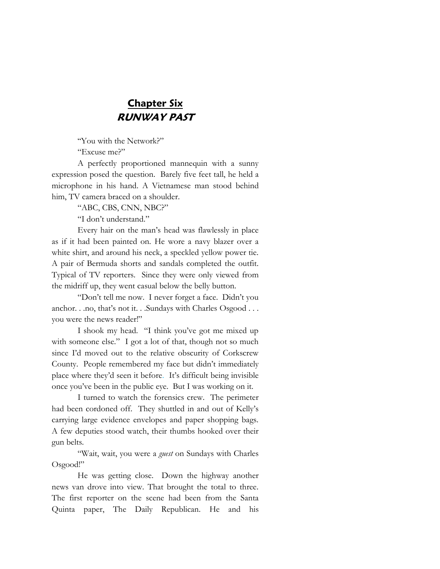## **Chapter Six RUNWAY PAST**

"You with the Network?"

"Excuse me?"

A perfectly proportioned mannequin with a sunny expression posed the question. Barely five feet tall, he held a microphone in his hand. A Vietnamese man stood behind him, TV camera braced on a shoulder.

"ABC, CBS, CNN, NBC?"

"I don't understand."

Every hair on the man's head was flawlessly in place as if it had been painted on. He wore a navy blazer over a white shirt, and around his neck, a speckled yellow power tie. A pair of Bermuda shorts and sandals completed the outfit. Typical of TV reporters. Since they were only viewed from the midriff up, they went casual below the belly button.

"Don't tell me now. I never forget a face. Didn't you anchor. . .no, that's not it. . .Sundays with Charles Osgood . . . you were the news reader!"

I shook my head. "I think you've got me mixed up with someone else." I got a lot of that, though not so much since I'd moved out to the relative obscurity of Corkscrew County. People remembered my face but didn't immediately place where they'd seen it before. It's difficult being invisible once you've been in the public eye. But I was working on it.

I turned to watch the forensics crew. The perimeter had been cordoned off. They shuttled in and out of Kelly's carrying large evidence envelopes and paper shopping bags. A few deputies stood watch, their thumbs hooked over their gun belts.

"Wait, wait, you were a *guest* on Sundays with Charles Osgood!"

He was getting close. Down the highway another news van drove into view. That brought the total to three. The first reporter on the scene had been from the Santa Quinta paper, The Daily Republican. He and his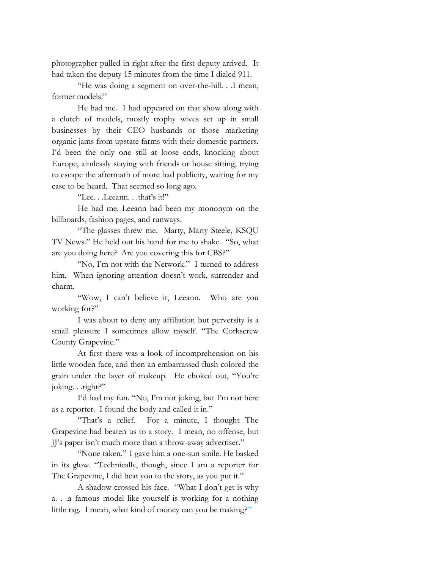photographer pulled in right after the first deputy arrived. It had taken the deputy 15 minutes from the time I dialed 911.

"He was doing a segment on over-the-hill. . .I mean, former models!"

He had me. I had appeared on that show along with a clutch of models, mostly trophy wives set up in small businesses by their CEO husbands or those marketing organic jams from upstate farms with their domestic partners. I'd been the only one still at loose ends, knocking about Europe, aimlessly staying with friends or house sitting, trying to escape the aftermath of more bad publicity, waiting for my case to be heard. That seemed so long ago.

"Lee. . .Leeann. . .that's it!"

He had me. Leeann had been my mononym on the billboards, fashion pages, and runways.

"The glasses threw me. Marty, Marty Steele, KSQU TV News." He held out his hand for me to shake. "So, what are you doing here? Are you covering this for CBS?"

"No, I'm not with the Network." I turned to address him. When ignoring attention doesn't work, surrender and charm.

"Wow, I can't believe it, Leeann. Who are you working for?"

I was about to deny any affiliation but perversity is a small pleasure I sometimes allow myself. "The Corkscrew County Grapevine."

At first there was a look of incomprehension on his little wooden face, and then an embarrassed flush colored the grain under the layer of makeup. He choked out, "You're joking. . .right?"

I'd had my fun. "No, I'm not joking, but I'm not here as a reporter. I found the body and called it in."

"That's a relief. For a minute, I thought The Grapevine had beaten us to a story. I mean, no offense, but JJ's paper isn't much more than a throw-away advertiser."

"None taken." I gave him a one-sun smile. He basked in its glow. "Technically, though, since I am a reporter for The Grapevine, I did beat you to the story, as you put it."

A shadow crossed his face. "What I don't get is why a. . .a famous model like yourself is working for a nothing little rag. I mean, what kind of money can you be making?"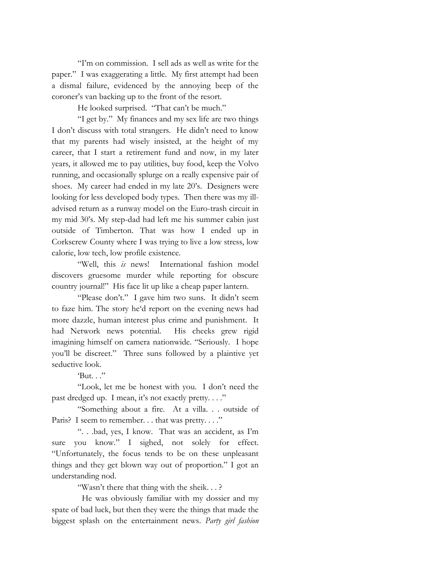"I'm on commission. I sell ads as well as write for the paper." I was exaggerating a little. My first attempt had been a dismal failure, evidenced by the annoying beep of the coroner's van backing up to the front of the resort.

He looked surprised. "That can't be much."

"I get by." My finances and my sex life are two things I don't discuss with total strangers. He didn't need to know that my parents had wisely insisted, at the height of my career, that I start a retirement fund and now, in my later years, it allowed me to pay utilities, buy food, keep the Volvo running, and occasionally splurge on a really expensive pair of shoes. My career had ended in my late 20's. Designers were looking for less developed body types. Then there was my illadvised return as a runway model on the Euro-trash circuit in my mid 30's. My step-dad had left me his summer cabin just outside of Timberton. That was how I ended up in Corkscrew County where I was trying to live a low stress, low calorie, low tech, low profile existence.

"Well, this *is* news! International fashion model discovers gruesome murder while reporting for obscure country journal!" His face lit up like a cheap paper lantern.

"Please don't." I gave him two suns. It didn't seem to faze him. The story he'd report on the evening news had more dazzle, human interest plus crime and punishment. It had Network news potential. His cheeks grew rigid imagining himself on camera nationwide. "Seriously. I hope you'll be discreet." Three suns followed by a plaintive yet seductive look.

'But. . ."

"Look, let me be honest with you. I don't need the past dredged up. I mean, it's not exactly pretty...."

"Something about a fire. At a villa. . . outside of Paris? I seem to remember. . . that was pretty. . . ."

". . .bad, yes, I know. That was an accident, as I'm sure you know." I sighed, not solely for effect. "Unfortunately, the focus tends to be on these unpleasant things and they get blown way out of proportion." I got an understanding nod.

"Wasn't there that thing with the sheik. . . ?

 He was obviously familiar with my dossier and my spate of bad luck, but then they were the things that made the biggest splash on the entertainment news. *Party girl fashion*